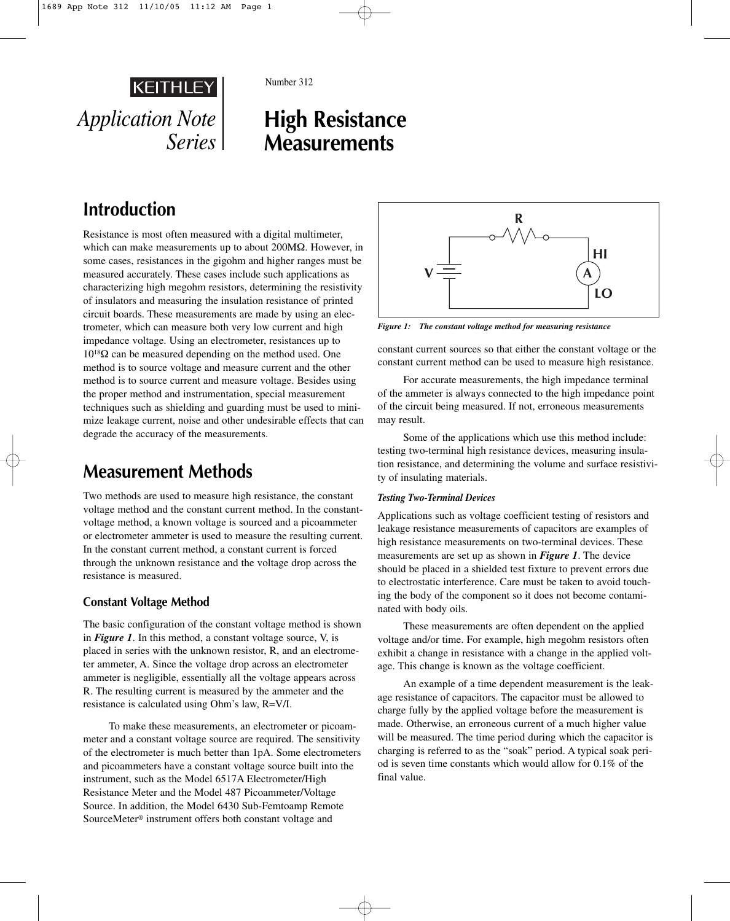

Number 312

# **High Resistance Measurements**

# **Introduction**

Resistance is most often measured with a digital multimeter, which can make measurements up to about 200MΩ. However, in some cases, resistances in the gigohm and higher ranges must be measured accurately. These cases include such applications as characterizing high megohm resistors, determining the resistivity of insulators and measuring the insulation resistance of printed circuit boards. These measurements are made by using an electrometer, which can measure both very low current and high impedance voltage. Using an electrometer, resistances up to 1018Ω can be measured depending on the method used. One method is to source voltage and measure current and the other method is to source current and measure voltage. Besides using the proper method and instrumentation, special measurement techniques such as shielding and guarding must be used to minimize leakage current, noise and other undesirable effects that can degrade the accuracy of the measurements.

## **Measurement Methods**

Two methods are used to measure high resistance, the constant voltage method and the constant current method. In the constantvoltage method, a known voltage is sourced and a picoammeter or electrometer ammeter is used to measure the resulting current. In the constant current method, a constant current is forced through the unknown resistance and the voltage drop across the resistance is measured.

### **Constant Voltage Method**

The basic configuration of the constant voltage method is shown in *Figure 1*. In this method, a constant voltage source, V, is placed in series with the unknown resistor, R, and an electrometer ammeter, A. Since the voltage drop across an electrometer ammeter is negligible, essentially all the voltage appears across R. The resulting current is measured by the ammeter and the resistance is calculated using Ohm's law, R=V/I.

To make these measurements, an electrometer or picoammeter and a constant voltage source are required. The sensitivity of the electrometer is much better than 1pA. Some electrometers and picoammeters have a constant voltage source built into the instrument, such as the Model 6517A Electrometer/High Resistance Meter and the Model 487 Picoammeter/Voltage Source. In addition, the Model 6430 Sub-Femtoamp Remote SourceMeter® instrument offers both constant voltage and



*Figure 1: The constant voltage method for measuring resistance*

constant current sources so that either the constant voltage or the constant current method can be used to measure high resistance.

For accurate measurements, the high impedance terminal of the ammeter is always connected to the high impedance point of the circuit being measured. If not, erroneous measurements may result.

Some of the applications which use this method include: testing two-terminal high resistance devices, measuring insulation resistance, and determining the volume and surface resistivity of insulating materials.

#### *Testing Two-Terminal Devices*

Applications such as voltage coefficient testing of resistors and leakage resistance measurements of capacitors are examples of high resistance measurements on two-terminal devices. These measurements are set up as shown in *Figure 1*. The device should be placed in a shielded test fixture to prevent errors due to electrostatic interference. Care must be taken to avoid touching the body of the component so it does not become contaminated with body oils.

These measurements are often dependent on the applied voltage and/or time. For example, high megohm resistors often exhibit a change in resistance with a change in the applied voltage. This change is known as the voltage coefficient.

An example of a time dependent measurement is the leakage resistance of capacitors. The capacitor must be allowed to charge fully by the applied voltage before the measurement is made. Otherwise, an erroneous current of a much higher value will be measured. The time period during which the capacitor is charging is referred to as the "soak" period. A typical soak period is seven time constants which would allow for 0.1% of the final value.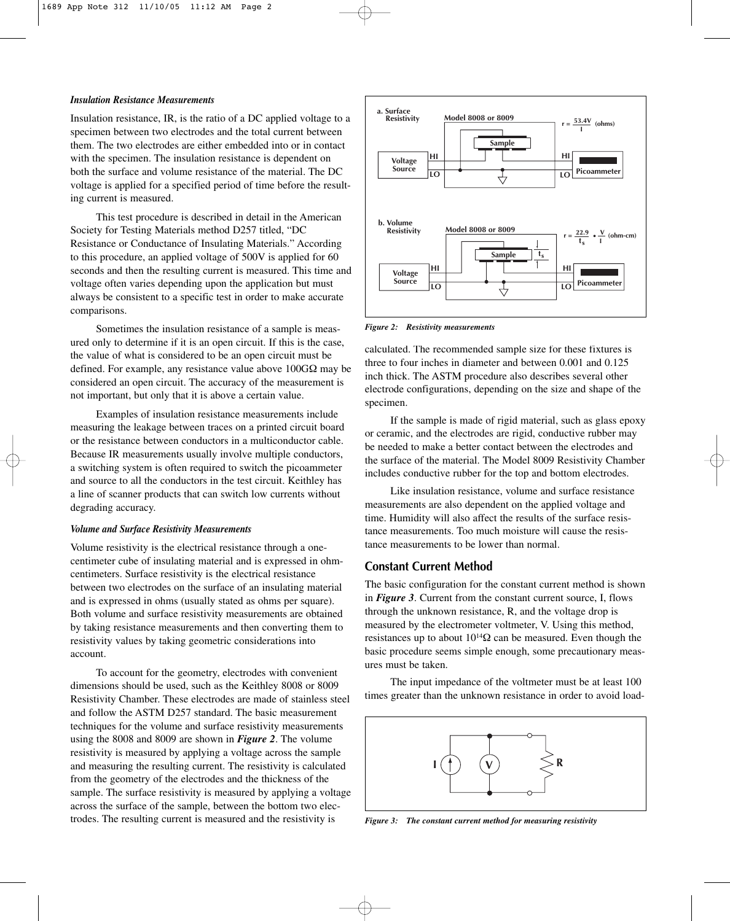#### *Insulation Resistance Measurements*

Insulation resistance, IR, is the ratio of a DC applied voltage to a specimen between two electrodes and the total current between them. The two electrodes are either embedded into or in contact with the specimen. The insulation resistance is dependent on both the surface and volume resistance of the material. The DC voltage is applied for a specified period of time before the resulting current is measured.

This test procedure is described in detail in the American Society for Testing Materials method D257 titled, "DC Resistance or Conductance of Insulating Materials." According to this procedure, an applied voltage of 500V is applied for 60 seconds and then the resulting current is measured. This time and voltage often varies depending upon the application but must always be consistent to a specific test in order to make accurate comparisons.

Sometimes the insulation resistance of a sample is measured only to determine if it is an open circuit. If this is the case, the value of what is considered to be an open circuit must be defined. For example, any resistance value above 100GΩ may be considered an open circuit. The accuracy of the measurement is not important, but only that it is above a certain value.

Examples of insulation resistance measurements include measuring the leakage between traces on a printed circuit board or the resistance between conductors in a multiconductor cable. Because IR measurements usually involve multiple conductors, a switching system is often required to switch the picoammeter and source to all the conductors in the test circuit. Keithley has a line of scanner products that can switch low currents without degrading accuracy.

#### *Volume and Surface Resistivity Measurements*

Volume resistivity is the electrical resistance through a onecentimeter cube of insulating material and is expressed in ohmcentimeters. Surface resistivity is the electrical resistance between two electrodes on the surface of an insulating material and is expressed in ohms (usually stated as ohms per square). Both volume and surface resistivity measurements are obtained by taking resistance measurements and then converting them to resistivity values by taking geometric considerations into account.

To account for the geometry, electrodes with convenient dimensions should be used, such as the Keithley 8008 or 8009 Resistivity Chamber. These electrodes are made of stainless steel and follow the ASTM D257 standard. The basic measurement techniques for the volume and surface resistivity measurements using the 8008 and 8009 are shown in *Figure 2*. The volume resistivity is measured by applying a voltage across the sample and measuring the resulting current. The resistivity is calculated from the geometry of the electrodes and the thickness of the sample. The surface resistivity is measured by applying a voltage across the surface of the sample, between the bottom two electrodes. The resulting current is measured and the resistivity is



*Figure 2: Resistivity measurements*

calculated. The recommended sample size for these fixtures is three to four inches in diameter and between 0.001 and 0.125 inch thick. The ASTM procedure also describes several other electrode configurations, depending on the size and shape of the specimen.

If the sample is made of rigid material, such as glass epoxy or ceramic, and the electrodes are rigid, conductive rubber may be needed to make a better contact between the electrodes and the surface of the material. The Model 8009 Resistivity Chamber includes conductive rubber for the top and bottom electrodes.

Like insulation resistance, volume and surface resistance measurements are also dependent on the applied voltage and time. Humidity will also affect the results of the surface resistance measurements. Too much moisture will cause the resistance measurements to be lower than normal.

### **Constant Current Method**

The basic configuration for the constant current method is shown in *Figure 3*. Current from the constant current source, I, flows through the unknown resistance, R, and the voltage drop is measured by the electrometer voltmeter, V. Using this method, resistances up to about  $10^{14}\Omega$  can be measured. Even though the basic procedure seems simple enough, some precautionary measures must be taken.

The input impedance of the voltmeter must be at least 100 times greater than the unknown resistance in order to avoid load-



*Figure 3: The constant current method for measuring resistivity*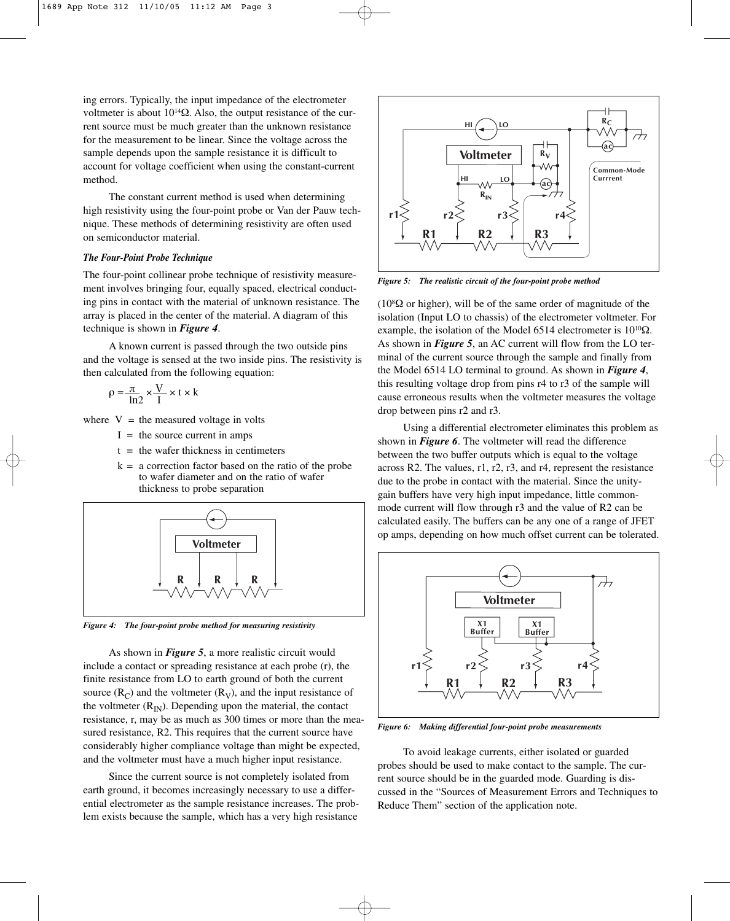ing errors. Typically, the input impedance of the electrometer voltmeter is about 10<sup>14</sup>Ω. Also, the output resistance of the current source must be much greater than the unknown resistance for the measurement to be linear. Since the voltage across the sample depends upon the sample resistance it is difficult to account for voltage coefficient when using the constant-current method.

The constant current method is used when determining high resistivity using the four-point probe or Van der Pauw technique. These methods of determining resistivity are often used on semiconductor material.

#### *The Four-Point Probe Technique*

The four-point collinear probe technique of resistivity measurement involves bringing four, equally spaced, electrical conducting pins in contact with the material of unknown resistance. The array is placed in the center of the material. A diagram of this technique is shown in *Figure 4*.

A known current is passed through the two outside pins and the voltage is sensed at the two inside pins. The resistivity is then calculated from the following equation:

$$
\rho = \frac{\pi}{\ln 2} \times \frac{V}{I} \times t \times k
$$

where  $V =$  the measured voltage in volts

- $I =$  the source current in amps
- $t =$  the wafer thickness in centimeters
- $k = a$  correction factor based on the ratio of the probe to wafer diameter and on the ratio of wafer thickness to probe separation



*Figure 4: The four-point probe method for measuring resistivity*

As shown in *Figure 5*, a more realistic circuit would include a contact or spreading resistance at each probe (r), the finite resistance from LO to earth ground of both the current source  $(R_C)$  and the voltmeter  $(R_V)$ , and the input resistance of the voltmeter  $(R_{IN})$ . Depending upon the material, the contact resistance, r, may be as much as 300 times or more than the measured resistance, R2. This requires that the current source have considerably higher compliance voltage than might be expected, and the voltmeter must have a much higher input resistance.

Since the current source is not completely isolated from earth ground, it becomes increasingly necessary to use a differential electrometer as the sample resistance increases. The problem exists because the sample, which has a very high resistance



*Figure 5: The realistic circuit of the four-point probe method*

( $10^8\Omega$  or higher), will be of the same order of magnitude of the isolation (Input LO to chassis) of the electrometer voltmeter. For example, the isolation of the Model 6514 electrometer is  $10^{10}$  $\Omega$ . As shown in *Figure 5*, an AC current will flow from the LO terminal of the current source through the sample and finally from the Model 6514 LO terminal to ground. As shown in *Figure 4*, this resulting voltage drop from pins r4 to r3 of the sample will cause erroneous results when the voltmeter measures the voltage drop between pins r2 and r3.

Using a differential electrometer eliminates this problem as shown in *Figure 6*. The voltmeter will read the difference between the two buffer outputs which is equal to the voltage across R2. The values, r1, r2, r3, and r4, represent the resistance due to the probe in contact with the material. Since the unitygain buffers have very high input impedance, little commonmode current will flow through r3 and the value of R2 can be calculated easily. The buffers can be any one of a range of JFET op amps, depending on how much offset current can be tolerated.



*Figure 6: Making differential four-point probe measurements* 

To avoid leakage currents, either isolated or guarded probes should be used to make contact to the sample. The current source should be in the guarded mode. Guarding is discussed in the "Sources of Measurement Errors and Techniques to Reduce Them" section of the application note.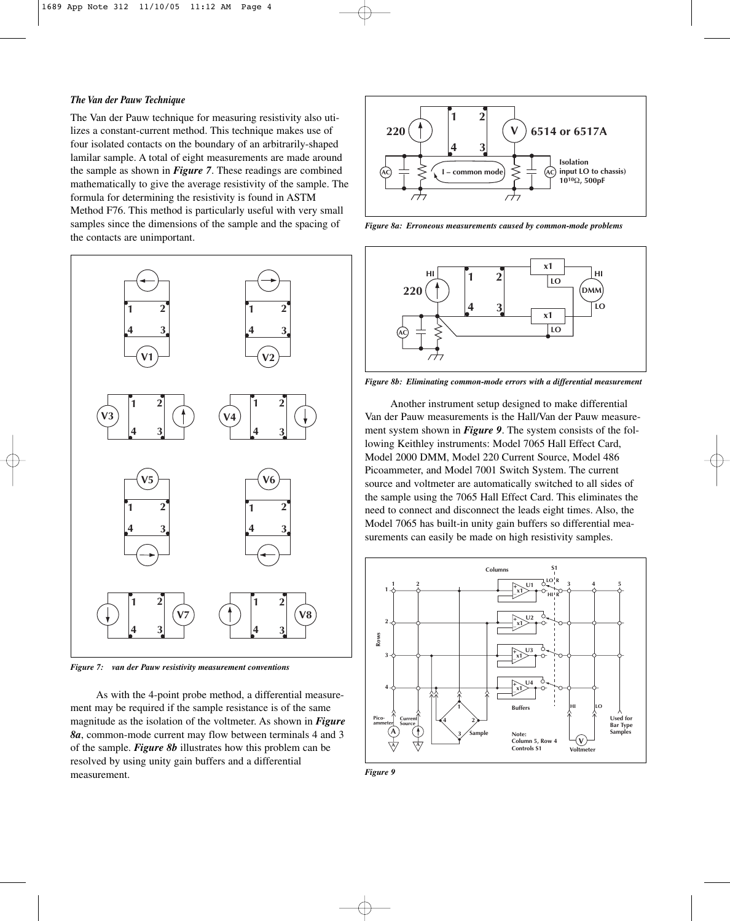#### *The Van der Pauw Technique*

The Van der Pauw technique for measuring resistivity also utilizes a constant-current method. This technique makes use of four isolated contacts on the boundary of an arbitrarily-shaped lamilar sample. A total of eight measurements are made around the sample as shown in *Figure 7*. These readings are combined mathematically to give the average resistivity of the sample. The formula for determining the resistivity is found in ASTM Method F76. This method is particularly useful with very small samples since the dimensions of the sample and the spacing of the contacts are unimportant.



*Figure 7: van der Pauw resistivity measurement conventions*

As with the 4-point probe method, a differential measurement may be required if the sample resistance is of the same magnitude as the isolation of the voltmeter. As shown in *Figure 8a*, common-mode current may flow between terminals 4 and 3 of the sample. *Figure 8b* illustrates how this problem can be resolved by using unity gain buffers and a differential measurement.



*Figure 8a: Erroneous measurements caused by common-mode problems*



*Figure 8b: Eliminating common-mode errors with a differential measurement*

Another instrument setup designed to make differential Van der Pauw measurements is the Hall/Van der Pauw measurement system shown in *Figure 9*. The system consists of the following Keithley instruments: Model 7065 Hall Effect Card, Model 2000 DMM, Model 220 Current Source, Model 486 Picoammeter, and Model 7001 Switch System. The current source and voltmeter are automatically switched to all sides of the sample using the 7065 Hall Effect Card. This eliminates the need to connect and disconnect the leads eight times. Also, the Model 7065 has built-in unity gain buffers so differential measurements can easily be made on high resistivity samples.



*Figure 9*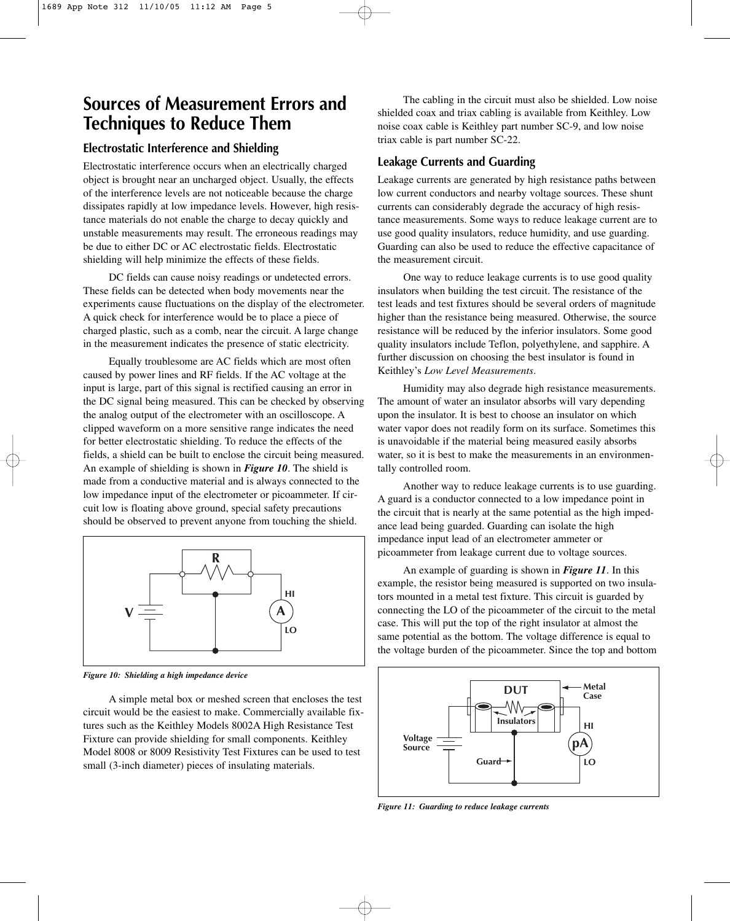## **Sources of Measurement Errors and Techniques to Reduce Them**

### **Electrostatic Interference and Shielding**

Electrostatic interference occurs when an electrically charged object is brought near an uncharged object. Usually, the effects of the interference levels are not noticeable because the charge dissipates rapidly at low impedance levels. However, high resistance materials do not enable the charge to decay quickly and unstable measurements may result. The erroneous readings may be due to either DC or AC electrostatic fields. Electrostatic shielding will help minimize the effects of these fields.

DC fields can cause noisy readings or undetected errors. These fields can be detected when body movements near the experiments cause fluctuations on the display of the electrometer. A quick check for interference would be to place a piece of charged plastic, such as a comb, near the circuit. A large change in the measurement indicates the presence of static electricity.

Equally troublesome are AC fields which are most often caused by power lines and RF fields. If the AC voltage at the input is large, part of this signal is rectified causing an error in the DC signal being measured. This can be checked by observing the analog output of the electrometer with an oscilloscope. A clipped waveform on a more sensitive range indicates the need for better electrostatic shielding. To reduce the effects of the fields, a shield can be built to enclose the circuit being measured. An example of shielding is shown in *Figure 10*. The shield is made from a conductive material and is always connected to the low impedance input of the electrometer or picoammeter. If circuit low is floating above ground, special safety precautions should be observed to prevent anyone from touching the shield.



*Figure 10: Shielding a high impedance device*

A simple metal box or meshed screen that encloses the test circuit would be the easiest to make. Commercially available fixtures such as the Keithley Models 8002A High Resistance Test Fixture can provide shielding for small components. Keithley Model 8008 or 8009 Resistivity Test Fixtures can be used to test small (3-inch diameter) pieces of insulating materials.

The cabling in the circuit must also be shielded. Low noise shielded coax and triax cabling is available from Keithley. Low noise coax cable is Keithley part number SC-9, and low noise triax cable is part number SC-22.

## **Leakage Currents and Guarding**

Leakage currents are generated by high resistance paths between low current conductors and nearby voltage sources. These shunt currents can considerably degrade the accuracy of high resistance measurements. Some ways to reduce leakage current are to use good quality insulators, reduce humidity, and use guarding. Guarding can also be used to reduce the effective capacitance of the measurement circuit.

One way to reduce leakage currents is to use good quality insulators when building the test circuit. The resistance of the test leads and test fixtures should be several orders of magnitude higher than the resistance being measured. Otherwise, the source resistance will be reduced by the inferior insulators. Some good quality insulators include Teflon, polyethylene, and sapphire. A further discussion on choosing the best insulator is found in Keithley's *Low Level Measurements*.

Humidity may also degrade high resistance measurements. The amount of water an insulator absorbs will vary depending upon the insulator. It is best to choose an insulator on which water vapor does not readily form on its surface. Sometimes this is unavoidable if the material being measured easily absorbs water, so it is best to make the measurements in an environmentally controlled room.

Another way to reduce leakage currents is to use guarding. A guard is a conductor connected to a low impedance point in the circuit that is nearly at the same potential as the high impedance lead being guarded. Guarding can isolate the high impedance input lead of an electrometer ammeter or picoammeter from leakage current due to voltage sources.

An example of guarding is shown in *Figure 11*. In this example, the resistor being measured is supported on two insulators mounted in a metal test fixture. This circuit is guarded by connecting the LO of the picoammeter of the circuit to the metal case. This will put the top of the right insulator at almost the same potential as the bottom. The voltage difference is equal to the voltage burden of the picoammeter. Since the top and bottom



*Figure 11: Guarding to reduce leakage currents*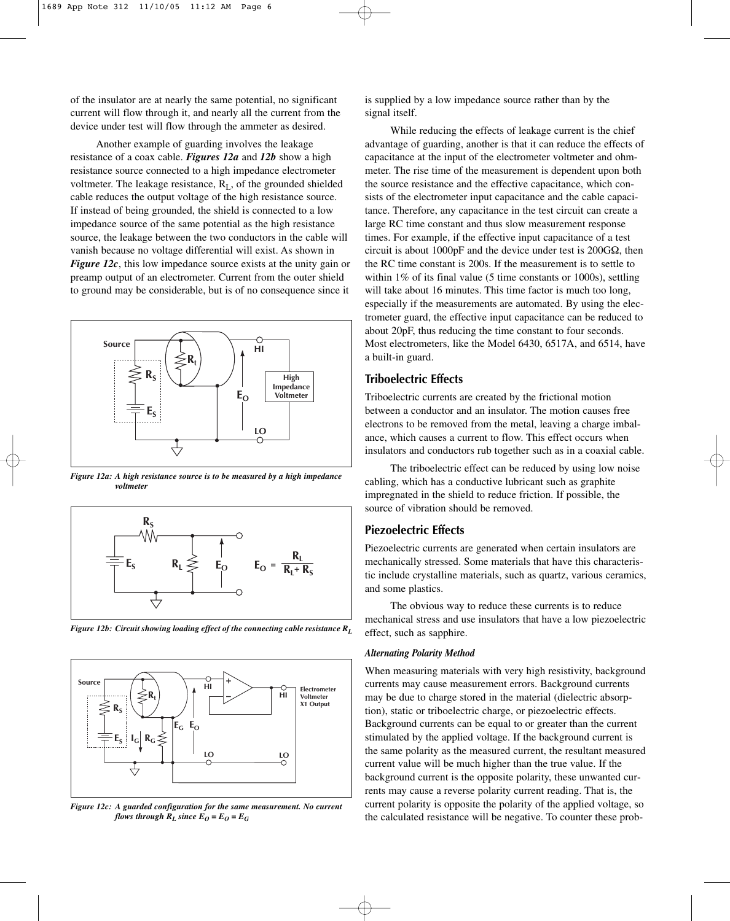of the insulator are at nearly the same potential, no significant current will flow through it, and nearly all the current from the device under test will flow through the ammeter as desired.

Another example of guarding involves the leakage resistance of a coax cable. *Figures 12a* and *12b* show a high resistance source connected to a high impedance electrometer voltmeter. The leakage resistance,  $R_{\text{I}}$ , of the grounded shielded cable reduces the output voltage of the high resistance source. If instead of being grounded, the shield is connected to a low impedance source of the same potential as the high resistance source, the leakage between the two conductors in the cable will vanish because no voltage differential will exist. As shown in *Figure 12c*, this low impedance source exists at the unity gain or preamp output of an electrometer. Current from the outer shield to ground may be considerable, but is of no consequence since it



*Figure 12a: A high resistance source is to be measured by a high impedance voltmeter*



*Figure 12b: Circuit showing loading effect of the connecting cable resistance RL*



*Figure 12c: A guarded configuration for the same measurement. No current flows through*  $R_L$  *since*  $E_O = E_O = E_G$ 

is supplied by a low impedance source rather than by the signal itself.

While reducing the effects of leakage current is the chief advantage of guarding, another is that it can reduce the effects of capacitance at the input of the electrometer voltmeter and ohmmeter. The rise time of the measurement is dependent upon both the source resistance and the effective capacitance, which consists of the electrometer input capacitance and the cable capacitance. Therefore, any capacitance in the test circuit can create a large RC time constant and thus slow measurement response times. For example, if the effective input capacitance of a test circuit is about 1000pF and the device under test is 200GΩ, then the RC time constant is 200s. If the measurement is to settle to within 1% of its final value (5 time constants or 1000s), settling will take about 16 minutes. This time factor is much too long, especially if the measurements are automated. By using the electrometer guard, the effective input capacitance can be reduced to about 20pF, thus reducing the time constant to four seconds. Most electrometers, like the Model 6430, 6517A, and 6514, have a built-in guard.

#### **Triboelectric Effects**

Triboelectric currents are created by the frictional motion between a conductor and an insulator. The motion causes free electrons to be removed from the metal, leaving a charge imbalance, which causes a current to flow. This effect occurs when insulators and conductors rub together such as in a coaxial cable.

The triboelectric effect can be reduced by using low noise cabling, which has a conductive lubricant such as graphite impregnated in the shield to reduce friction. If possible, the source of vibration should be removed.

#### **Piezoelectric Effects**

Piezoelectric currents are generated when certain insulators are mechanically stressed. Some materials that have this characteristic include crystalline materials, such as quartz, various ceramics, and some plastics.

The obvious way to reduce these currents is to reduce mechanical stress and use insulators that have a low piezoelectric effect, such as sapphire.

#### *Alternating Polarity Method*

When measuring materials with very high resistivity, background currents may cause measurement errors. Background currents may be due to charge stored in the material (dielectric absorption), static or triboelectric charge, or piezoelectric effects. Background currents can be equal to or greater than the current stimulated by the applied voltage. If the background current is the same polarity as the measured current, the resultant measured current value will be much higher than the true value. If the background current is the opposite polarity, these unwanted currents may cause a reverse polarity current reading. That is, the current polarity is opposite the polarity of the applied voltage, so the calculated resistance will be negative. To counter these prob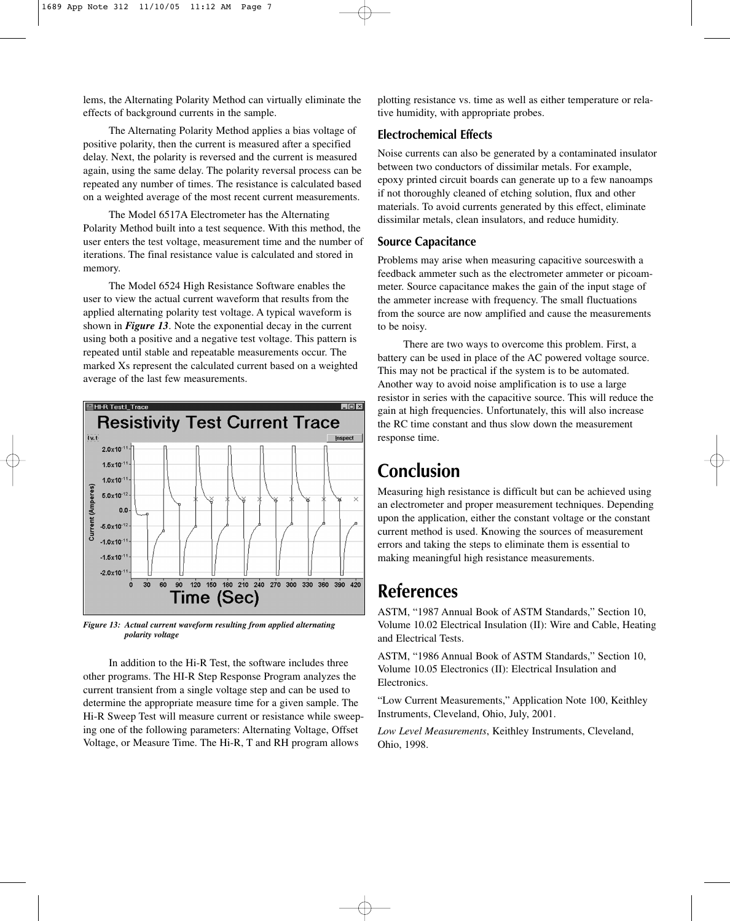lems, the Alternating Polarity Method can virtually eliminate the effects of background currents in the sample.

The Alternating Polarity Method applies a bias voltage of positive polarity, then the current is measured after a specified delay. Next, the polarity is reversed and the current is measured again, using the same delay. The polarity reversal process can be repeated any number of times. The resistance is calculated based on a weighted average of the most recent current measurements.

The Model 6517A Electrometer has the Alternating Polarity Method built into a test sequence. With this method, the user enters the test voltage, measurement time and the number of iterations. The final resistance value is calculated and stored in memory.

The Model 6524 High Resistance Software enables the user to view the actual current waveform that results from the applied alternating polarity test voltage. A typical waveform is shown in *Figure 13*. Note the exponential decay in the current using both a positive and a negative test voltage. This pattern is repeated until stable and repeatable measurements occur. The marked Xs represent the calculated current based on a weighted average of the last few measurements.



*Figure 13: Actual current waveform resulting from applied alternating polarity voltage*

In addition to the Hi-R Test, the software includes three other programs. The HI-R Step Response Program analyzes the current transient from a single voltage step and can be used to determine the appropriate measure time for a given sample. The Hi-R Sweep Test will measure current or resistance while sweeping one of the following parameters: Alternating Voltage, Offset Voltage, or Measure Time. The Hi-R, T and RH program allows

plotting resistance vs. time as well as either temperature or relative humidity, with appropriate probes.

### **Electrochemical Effects**

Noise currents can also be generated by a contaminated insulator between two conductors of dissimilar metals. For example, epoxy printed circuit boards can generate up to a few nanoamps if not thoroughly cleaned of etching solution, flux and other materials. To avoid currents generated by this effect, eliminate dissimilar metals, clean insulators, and reduce humidity.

### **Source Capacitance**

Problems may arise when measuring capacitive sourceswith a feedback ammeter such as the electrometer ammeter or picoammeter. Source capacitance makes the gain of the input stage of the ammeter increase with frequency. The small fluctuations from the source are now amplified and cause the measurements to be noisy.

There are two ways to overcome this problem. First, a battery can be used in place of the AC powered voltage source. This may not be practical if the system is to be automated. Another way to avoid noise amplification is to use a large resistor in series with the capacitive source. This will reduce the gain at high frequencies. Unfortunately, this will also increase the RC time constant and thus slow down the measurement response time.

## **Conclusion**

Measuring high resistance is difficult but can be achieved using an electrometer and proper measurement techniques. Depending upon the application, either the constant voltage or the constant current method is used. Knowing the sources of measurement errors and taking the steps to eliminate them is essential to making meaningful high resistance measurements.

## **References**

ASTM, "1987 Annual Book of ASTM Standards," Section 10, Volume 10.02 Electrical Insulation (II): Wire and Cable, Heating and Electrical Tests.

ASTM, "1986 Annual Book of ASTM Standards," Section 10, Volume 10.05 Electronics (II): Electrical Insulation and Electronics.

"Low Current Measurements," Application Note 100, Keithley Instruments, Cleveland, Ohio, July, 2001.

*Low Level Measurements*, Keithley Instruments, Cleveland, Ohio, 1998.